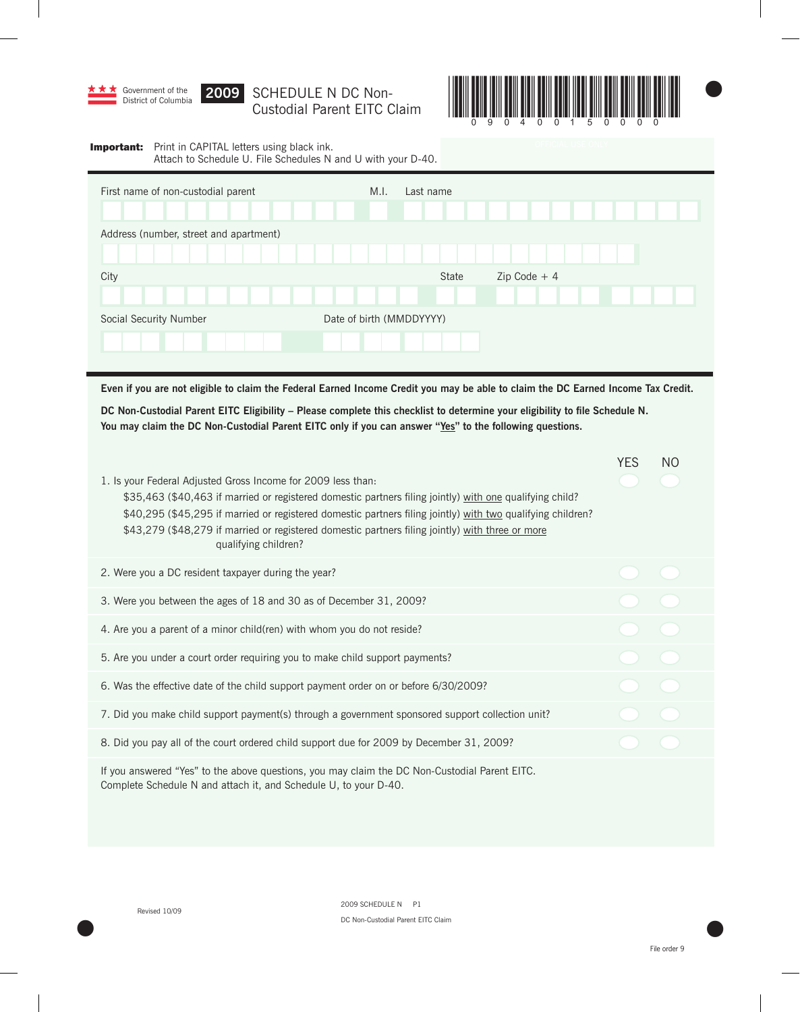

## **X** Government of the **2009 SCHEDULE N DC Non-**



## **Important:** Print in CAPITAL letters using black ink. Attach to Schedule U. File Schedules N and U with your D-40.

| First name of non-custodial parent     | M.I.<br>Last name        |                |
|----------------------------------------|--------------------------|----------------|
| Address (number, street and apartment) |                          |                |
|                                        |                          |                |
| City                                   | State                    | $Zip Code + 4$ |
|                                        |                          |                |
| Social Security Number                 | Date of birth (MMDDYYYY) |                |
|                                        |                          |                |
|                                        |                          |                |

**Even if you are not eligible to claim the Federal Earned Income Credit you may be able to claim the DC Earned Income Tax Credit.**

**DC Non-Custodial Parent EITC Eligibility – Please complete this checklist to determine your eligibility to file Schedule N.** You may claim the DC Non-Custodial Parent EITC only if you can answer "Yes" to the following questions.

| 1. Is your Federal Adjusted Gross Income for 2009 less than:<br>\$35,463 (\$40,463 if married or registered domestic partners filing jointly) with one qualifying child?<br>\$40,295 (\$45,295 if married or registered domestic partners filing jointly) with two qualifying children?<br>\$43,279 (\$48,279 if married or registered domestic partners filing jointly) with three or more<br>qualifying children? | <b>YES</b> | N <sub>O</sub> |
|---------------------------------------------------------------------------------------------------------------------------------------------------------------------------------------------------------------------------------------------------------------------------------------------------------------------------------------------------------------------------------------------------------------------|------------|----------------|
| 2. Were you a DC resident taxpayer during the year?                                                                                                                                                                                                                                                                                                                                                                 |            |                |
| 3. Were you between the ages of 18 and 30 as of December 31, 2009?                                                                                                                                                                                                                                                                                                                                                  |            |                |
| 4. Are you a parent of a minor child(ren) with whom you do not reside?                                                                                                                                                                                                                                                                                                                                              |            |                |
| 5. Are you under a court order requiring you to make child support payments?                                                                                                                                                                                                                                                                                                                                        |            |                |
| 6. Was the effective date of the child support payment order on or before 6/30/2009?                                                                                                                                                                                                                                                                                                                                |            |                |
| 7. Did you make child support payment(s) through a government sponsored support collection unit?                                                                                                                                                                                                                                                                                                                    |            |                |
| 8. Did you pay all of the court ordered child support due for 2009 by December 31, 2009?                                                                                                                                                                                                                                                                                                                            |            |                |
| If you answered "Yes" to the above questions, you may claim the DC Non-Custodial Parent EITC.<br>Complete Schedule N and attach it, and Schedule U, to your D-40.                                                                                                                                                                                                                                                   |            |                |